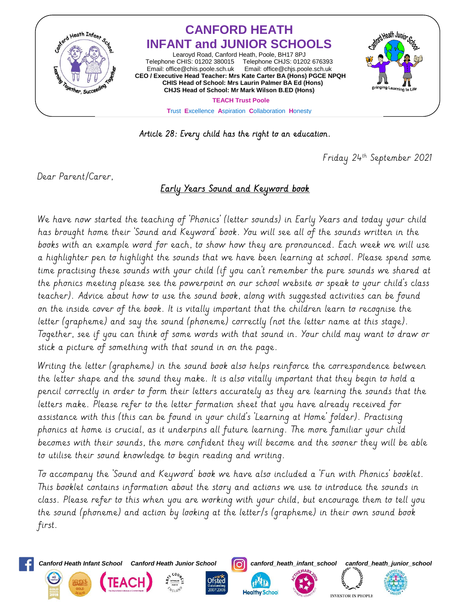

Article 28: Every child has the right to an education.

Friday 24th September 2021

Dear Parent/Carer,

## Early Years Sound and Keyword book

We have now started the teaching of 'Phonics' (letter sounds) in Early Years and today your child has brought home their 'Sound and Keyword' book. You will see all of the sounds written in the books with an example word for each, to show how they are pronounced. Each week we will use a highlighter pen to highlight the sounds that we have been learning at school. Please spend some time practising these sounds with your child (if you can't remember the pure sounds we shared at the phonics meeting please see the powerpoint on our school website or speak to your child's class teacher). Advice about how to use the sound book, along with suggested activities can be found on the inside cover of the book. It is vitally important that the children learn to recognise the letter (grapheme) and say the sound (phoneme) correctly (not the letter name at this stage). Together, see if you can think of some words with that sound in. Your child may want to draw or stick a picture of something with that sound in on the page.

Writing the letter (grapheme) in the sound book also helps reinforce the correspondence between the letter shape and the sound they make. It is also vitally important that they begin to hold a pencil correctly in order to form their letters accurately as they are learning the sounds that the letters make. Please refer to the letter formation sheet that you have already received for assistance with this (this can be found in your child's 'Learning at Home' folder). Practising phonics at home is crucial, as it underpins all future learning. The more familiar your child becomes with their sounds, the more confident they will become and the sooner they will be able to utilise their sound knowledge to begin reading and writing.

To accompany the 'Sound and Keyword' book we have also included a 'Fun with Phonics' booklet. This booklet contains information about the story and actions we use to introduce the sounds in class. Please refer to this when you are working with your child, but encourage them to tell you the sound (phoneme) and action by looking at the letter/s (grapheme) in their own sound book first.